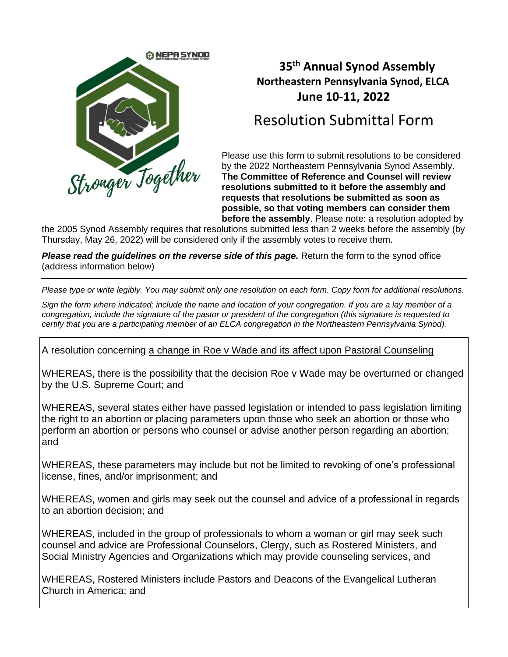

## **35 th Annual Synod Assembly Northeastern Pennsylvania Synod, ELCA June 10-11, 2022**

## Resolution Submittal Form

Please use this form to submit resolutions to be considered by the 2022 Northeastern Pennsylvania Synod Assembly. **The Committee of Reference and Counsel will review resolutions submitted to it before the assembly and requests that resolutions be submitted as soon as possible, so that voting members can consider them before the assembly**. Please note: a resolution adopted by

the 2005 Synod Assembly requires that resolutions submitted less than 2 weeks before the assembly (by Thursday, May 26, 2022) will be considered only if the assembly votes to receive them.

*Please read the guidelines on the reverse side of this page.* Return the form to the synod office (address information below)

*Please type or write legibly. You may submit only one resolution on each form. Copy form for additional resolutions.* 

*Sign the form where indicated; include the name and location of your congregation. If you are a lay member of a congregation, include the signature of the pastor or president of the congregation (this signature is requested to certify that you are a participating member of an ELCA congregation in the Northeastern Pennsylvania Synod).*

A resolution concerning a change in Roe v Wade and its affect upon Pastoral Counseling

WHEREAS, there is the possibility that the decision Roe v Wade may be overturned or changed by the U.S. Supreme Court; and

WHEREAS, several states either have passed legislation or intended to pass legislation limiting the right to an abortion or placing parameters upon those who seek an abortion or those who perform an abortion or persons who counsel or advise another person regarding an abortion; and

WHEREAS, these parameters may include but not be limited to revoking of one's professional license, fines, and/or imprisonment; and

WHEREAS, women and girls may seek out the counsel and advice of a professional in regards to an abortion decision; and

WHEREAS, included in the group of professionals to whom a woman or girl may seek such counsel and advice are Professional Counselors, Clergy, such as Rostered Ministers, and Social Ministry Agencies and Organizations which may provide counseling services, and

WHEREAS, Rostered Ministers include Pastors and Deacons of the Evangelical Lutheran Church in America; and